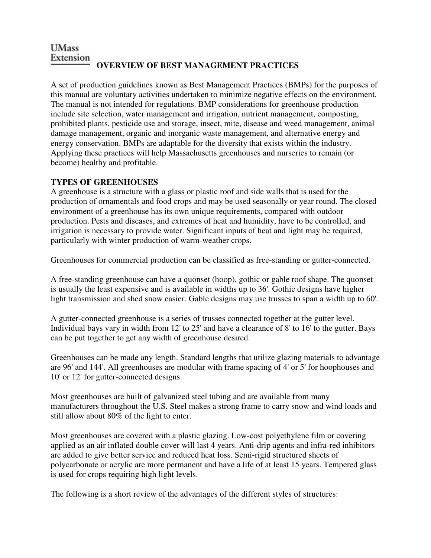#### **UMass** Extension **OVERVIEW OF BEST MANAGEMENT PRACTICES**

A set of production guidelines known as Best Management Practices (BMPs) for the purposes of this manual are voluntary activities undertaken to minimize negative effects on the environment. The manual is not intended for regulations. BMP considerations for greenhouse production include site selection, water management and irrigation, nutrient management, composting, prohibited plants, pesticide use and storage, insect, mite, disease and weed management, animal damage management, organic and inorganic waste management, and alternative energy and energy conservation. BMPs are adaptable for the diversity that exists within the industry. Applying these practices will help Massachusetts greenhouses and nurseries to remain (or become) healthy and profitable.

# **TYPES OF GREENHOUSES**

A greenhouse is a structure with a glass or plastic roof and side walls that is used for the production of ornamentals and food crops and may be used seasonally or year round. The closed environment of a greenhouse has its own unique requirements, compared with outdoor production. Pests and diseases, and extremes of heat and humidity, have to be controlled, and irrigation is necessary to provide water. Significant inputs of heat and light may be required, particularly with winter production of warm-weather crops.

Greenhouses for commercial production can be classified as free-standing or gutter-connected.

A free-standing greenhouse can have a quonset (hoop), gothic or gable roof shape. The quonset is usually the least expensive and is available in widths up to 36'. Gothic designs have higher light transmission and shed snow easier. Gable designs may use trusses to span a width up to 60'.

A gutter-connected greenhouse is a series of trusses connected together at the gutter level. Individual bays vary in width from 12' to 25' and have a clearance of 8' to 16' to the gutter. Bays can be put together to get any width of greenhouse desired.

Greenhouses can be made any length. Standard lengths that utilize glazing materials to advantage are 96' and 144'. All greenhouses are modular with frame spacing of 4' or 5' for hoophouses and 10' or 12' for gutter-connected designs.

Most greenhouses are built of galvanized steel tubing and are available from many manufacturers throughout the U.S. Steel makes a strong frame to carry snow and wind loads and still allow about 80% of the light to enter.

Most greenhouses are covered with a plastic glazing. Low-cost polyethylene film or covering applied as an air inflated double cover will last 4 years. Anti-drip agents and infra-red inhibitors are added to give better service and reduced heat loss. Semi-rigid structured sheets of polycarbonate or acrylic are more permanent and have a life of at least 15 years. Tempered glass is used for crops requiring high light levels.

The following is a short review of the advantages of the different styles of structures: